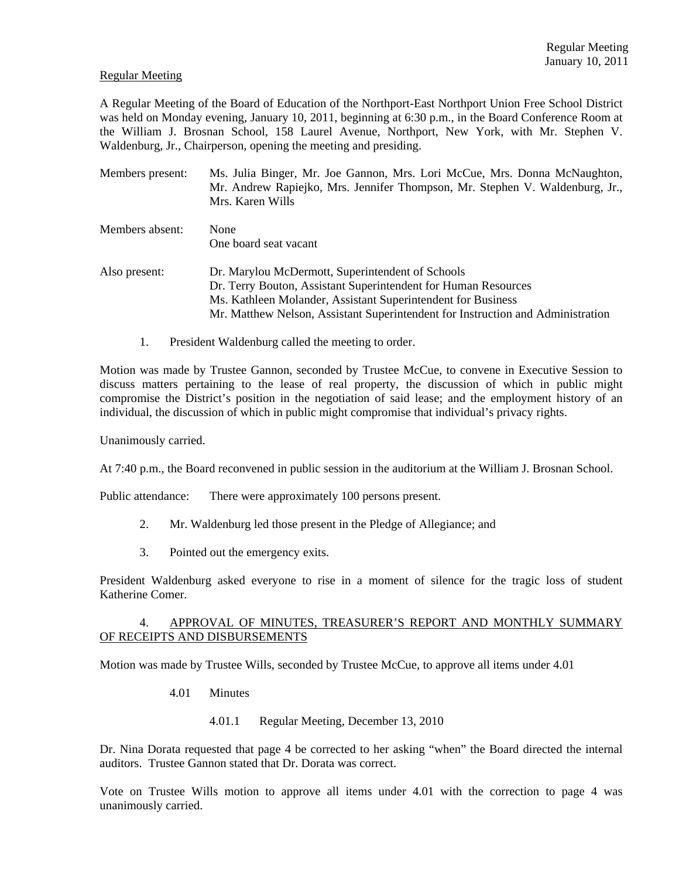#### Regular Meeting

A Regular Meeting of the Board of Education of the Northport-East Northport Union Free School District was held on Monday evening, January 10, 2011, beginning at 6:30 p.m., in the Board Conference Room at the William J. Brosnan School, 158 Laurel Avenue, Northport, New York, with Mr. Stephen V. Waldenburg, Jr., Chairperson, opening the meeting and presiding.

- Members present: Ms. Julia Binger, Mr. Joe Gannon, Mrs. Lori McCue, Mrs. Donna McNaughton, Mr. Andrew Rapiejko, Mrs. Jennifer Thompson, Mr. Stephen V. Waldenburg, Jr., Mrs. Karen Wills Members absent: None One board seat vacant Also present: Dr. Marylou McDermott, Superintendent of Schools Dr. Terry Bouton, Assistant Superintendent for Human Resources Ms. Kathleen Molander, Assistant Superintendent for Business Mr. Matthew Nelson, Assistant Superintendent for Instruction and Administration
	- 1. President Waldenburg called the meeting to order.

Motion was made by Trustee Gannon, seconded by Trustee McCue, to convene in Executive Session to discuss matters pertaining to the lease of real property, the discussion of which in public might compromise the District's position in the negotiation of said lease; and the employment history of an individual, the discussion of which in public might compromise that individual's privacy rights.

Unanimously carried.

At 7:40 p.m., the Board reconvened in public session in the auditorium at the William J. Brosnan School.

Public attendance: There were approximately 100 persons present.

- 2. Mr. Waldenburg led those present in the Pledge of Allegiance; and
- 3. Pointed out the emergency exits.

President Waldenburg asked everyone to rise in a moment of silence for the tragic loss of student Katherine Comer.

#### 4. APPROVAL OF MINUTES, TREASURER'S REPORT AND MONTHLY SUMMARY OF RECEIPTS AND DISBURSEMENTS

Motion was made by Trustee Wills, seconded by Trustee McCue, to approve all items under 4.01

- 4.01 Minutes
	- 4.01.1 Regular Meeting, December 13, 2010

Dr. Nina Dorata requested that page 4 be corrected to her asking "when" the Board directed the internal auditors. Trustee Gannon stated that Dr. Dorata was correct.

Vote on Trustee Wills motion to approve all items under 4.01 with the correction to page 4 was unanimously carried.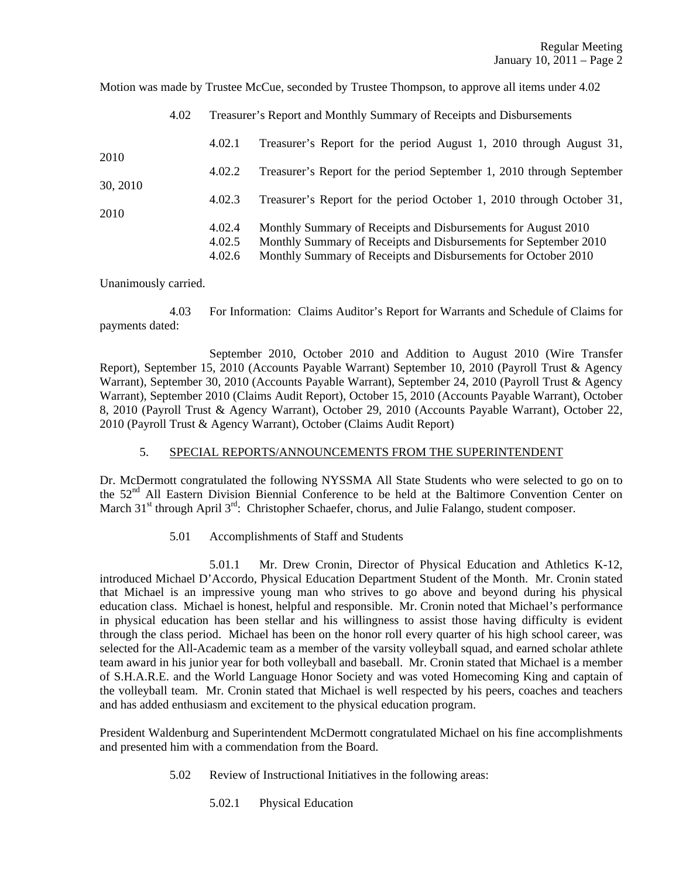Motion was made by Trustee McCue, seconded by Trustee Thompson, to approve all items under 4.02

|                          | 4.02 | Treasurer's Report and Monthly Summary of Receipts and Disbursements |                                                                                                                                                                                                     |  |
|--------------------------|------|----------------------------------------------------------------------|-----------------------------------------------------------------------------------------------------------------------------------------------------------------------------------------------------|--|
| 2010<br>30, 2010<br>2010 |      | 4.02.1                                                               | Treasurer's Report for the period August 1, 2010 through August 31,                                                                                                                                 |  |
|                          |      | 4.02.2                                                               | Treasurer's Report for the period September 1, 2010 through September                                                                                                                               |  |
|                          |      | 4.02.3                                                               | Treasurer's Report for the period October 1, 2010 through October 31,                                                                                                                               |  |
|                          |      | 4.02.4<br>4.02.5<br>4.02.6                                           | Monthly Summary of Receipts and Disbursements for August 2010<br>Monthly Summary of Receipts and Disbursements for September 2010<br>Monthly Summary of Receipts and Disbursements for October 2010 |  |

Unanimously carried.

 4.03 For Information: Claims Auditor's Report for Warrants and Schedule of Claims for payments dated:

 September 2010, October 2010 and Addition to August 2010 (Wire Transfer Report), September 15, 2010 (Accounts Payable Warrant) September 10, 2010 (Payroll Trust & Agency Warrant), September 30, 2010 (Accounts Payable Warrant), September 24, 2010 (Payroll Trust & Agency Warrant), September 2010 (Claims Audit Report), October 15, 2010 (Accounts Payable Warrant), October 8, 2010 (Payroll Trust & Agency Warrant), October 29, 2010 (Accounts Payable Warrant), October 22, 2010 (Payroll Trust & Agency Warrant), October (Claims Audit Report)

# 5. SPECIAL REPORTS/ANNOUNCEMENTS FROM THE SUPERINTENDENT

Dr. McDermott congratulated the following NYSSMA All State Students who were selected to go on to the 52<sup>nd</sup> All Eastern Division Biennial Conference to be held at the Baltimore Convention Center on March 31<sup>st</sup> through April  $3^{rd}$ : Christopher Schaefer, chorus, and Julie Falango, student composer.

5.01 Accomplishments of Staff and Students

 5.01.1 Mr. Drew Cronin, Director of Physical Education and Athletics K-12, introduced Michael D'Accordo, Physical Education Department Student of the Month. Mr. Cronin stated that Michael is an impressive young man who strives to go above and beyond during his physical education class. Michael is honest, helpful and responsible. Mr. Cronin noted that Michael's performance in physical education has been stellar and his willingness to assist those having difficulty is evident through the class period. Michael has been on the honor roll every quarter of his high school career, was selected for the All-Academic team as a member of the varsity volleyball squad, and earned scholar athlete team award in his junior year for both volleyball and baseball. Mr. Cronin stated that Michael is a member of S.H.A.R.E. and the World Language Honor Society and was voted Homecoming King and captain of the volleyball team. Mr. Cronin stated that Michael is well respected by his peers, coaches and teachers and has added enthusiasm and excitement to the physical education program.

President Waldenburg and Superintendent McDermott congratulated Michael on his fine accomplishments and presented him with a commendation from the Board.

- 5.02 Review of Instructional Initiatives in the following areas:
	- 5.02.1 Physical Education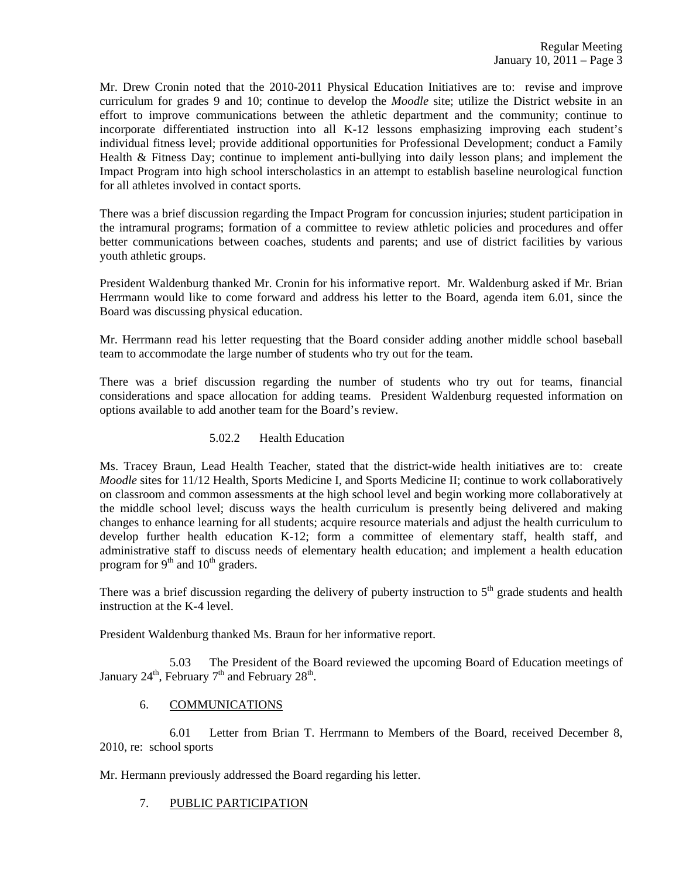Mr. Drew Cronin noted that the 2010-2011 Physical Education Initiatives are to: revise and improve curriculum for grades 9 and 10; continue to develop the *Moodle* site; utilize the District website in an effort to improve communications between the athletic department and the community; continue to incorporate differentiated instruction into all K-12 lessons emphasizing improving each student's individual fitness level; provide additional opportunities for Professional Development; conduct a Family Health & Fitness Day; continue to implement anti-bullying into daily lesson plans; and implement the Impact Program into high school interscholastics in an attempt to establish baseline neurological function for all athletes involved in contact sports.

There was a brief discussion regarding the Impact Program for concussion injuries; student participation in the intramural programs; formation of a committee to review athletic policies and procedures and offer better communications between coaches, students and parents; and use of district facilities by various youth athletic groups.

President Waldenburg thanked Mr. Cronin for his informative report. Mr. Waldenburg asked if Mr. Brian Herrmann would like to come forward and address his letter to the Board, agenda item 6.01, since the Board was discussing physical education.

Mr. Herrmann read his letter requesting that the Board consider adding another middle school baseball team to accommodate the large number of students who try out for the team.

There was a brief discussion regarding the number of students who try out for teams, financial considerations and space allocation for adding teams. President Waldenburg requested information on options available to add another team for the Board's review.

# 5.02.2 Health Education

Ms. Tracey Braun, Lead Health Teacher, stated that the district-wide health initiatives are to: create *Moodle* sites for 11/12 Health, Sports Medicine I, and Sports Medicine II; continue to work collaboratively on classroom and common assessments at the high school level and begin working more collaboratively at the middle school level; discuss ways the health curriculum is presently being delivered and making changes to enhance learning for all students; acquire resource materials and adjust the health curriculum to develop further health education K-12; form a committee of elementary staff, health staff, and administrative staff to discuss needs of elementary health education; and implement a health education program for  $9<sup>th</sup>$  and  $10<sup>th</sup>$  graders.

There was a brief discussion regarding the delivery of puberty instruction to  $5<sup>th</sup>$  grade students and health instruction at the K-4 level.

President Waldenburg thanked Ms. Braun for her informative report.

 5.03 The President of the Board reviewed the upcoming Board of Education meetings of January  $24^{\text{th}}$ , February  $7^{\text{th}}$  and February  $28^{\text{th}}$ .

# 6. COMMUNICATIONS

 6.01 Letter from Brian T. Herrmann to Members of the Board, received December 8, 2010, re: school sports

Mr. Hermann previously addressed the Board regarding his letter.

# 7. PUBLIC PARTICIPATION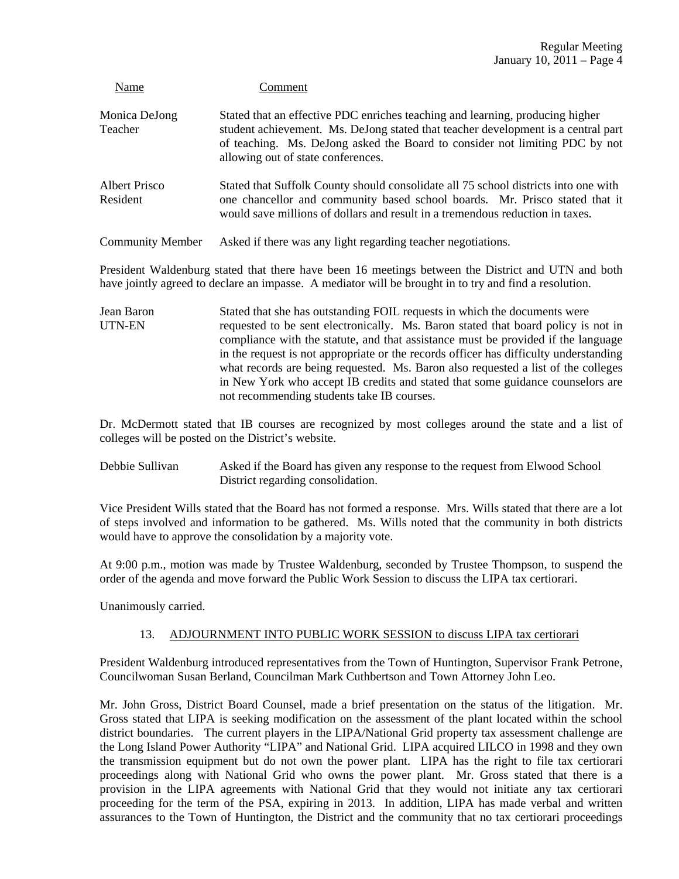| Name                      | Comment                                                                                                                                                                                                                                                                                 |
|---------------------------|-----------------------------------------------------------------------------------------------------------------------------------------------------------------------------------------------------------------------------------------------------------------------------------------|
| Monica DeJong<br>Teacher  | Stated that an effective PDC enriches teaching and learning, producing higher<br>student achievement. Ms. DeJong stated that teacher development is a central part<br>of teaching. Ms. DeJong asked the Board to consider not limiting PDC by not<br>allowing out of state conferences. |
| Albert Prisco<br>Resident | Stated that Suffolk County should consolidate all 75 school districts into one with<br>one chancellor and community based school boards. Mr. Prisco stated that it<br>would save millions of dollars and result in a tremendous reduction in taxes.                                     |
| <b>Community Member</b>   | Asked if there was any light regarding teacher negotiations.                                                                                                                                                                                                                            |

President Waldenburg stated that there have been 16 meetings between the District and UTN and both have jointly agreed to declare an impasse. A mediator will be brought in to try and find a resolution.

Jean Baron Stated that she has outstanding FOIL requests in which the documents were UTN-EN requested to be sent electronically. Ms. Baron stated that board policy is not in compliance with the statute, and that assistance must be provided if the language in the request is not appropriate or the records officer has difficulty understanding what records are being requested. Ms. Baron also requested a list of the colleges in New York who accept IB credits and stated that some guidance counselors are not recommending students take IB courses.

Dr. McDermott stated that IB courses are recognized by most colleges around the state and a list of colleges will be posted on the District's website.

Debbie Sullivan Asked if the Board has given any response to the request from Elwood School District regarding consolidation.

Vice President Wills stated that the Board has not formed a response. Mrs. Wills stated that there are a lot of steps involved and information to be gathered. Ms. Wills noted that the community in both districts would have to approve the consolidation by a majority vote.

At 9:00 p.m., motion was made by Trustee Waldenburg, seconded by Trustee Thompson, to suspend the order of the agenda and move forward the Public Work Session to discuss the LIPA tax certiorari.

Unanimously carried.

# 13. ADJOURNMENT INTO PUBLIC WORK SESSION to discuss LIPA tax certiorari

President Waldenburg introduced representatives from the Town of Huntington, Supervisor Frank Petrone, Councilwoman Susan Berland, Councilman Mark Cuthbertson and Town Attorney John Leo.

Mr. John Gross, District Board Counsel, made a brief presentation on the status of the litigation. Mr. Gross stated that LIPA is seeking modification on the assessment of the plant located within the school district boundaries. The current players in the LIPA/National Grid property tax assessment challenge are the Long Island Power Authority "LIPA" and National Grid. LIPA acquired LILCO in 1998 and they own the transmission equipment but do not own the power plant. LIPA has the right to file tax certiorari proceedings along with National Grid who owns the power plant. Mr. Gross stated that there is a provision in the LIPA agreements with National Grid that they would not initiate any tax certiorari proceeding for the term of the PSA, expiring in 2013. In addition, LIPA has made verbal and written assurances to the Town of Huntington, the District and the community that no tax certiorari proceedings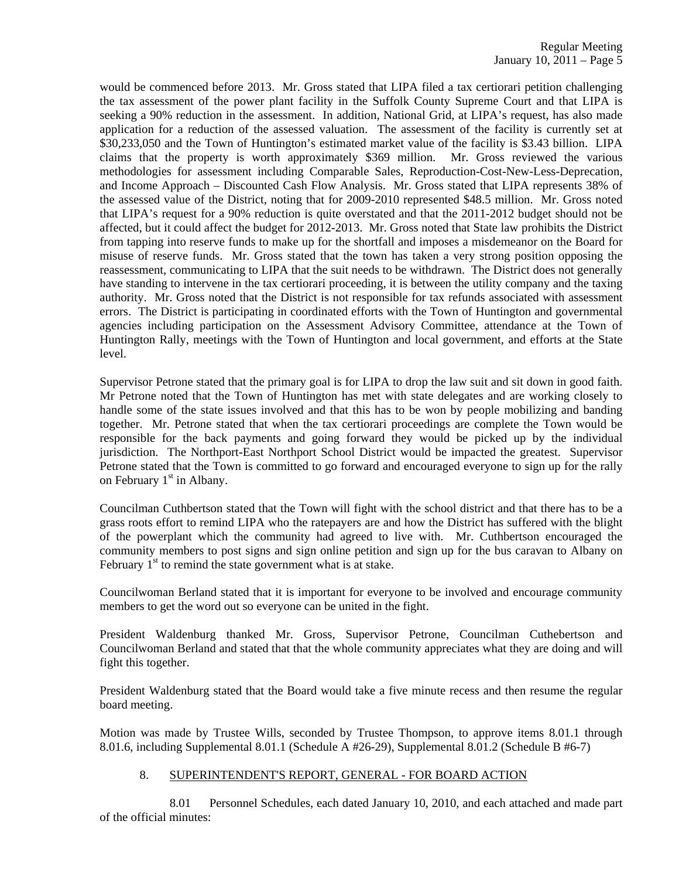would be commenced before 2013. Mr. Gross stated that LIPA filed a tax certiorari petition challenging the tax assessment of the power plant facility in the Suffolk County Supreme Court and that LIPA is seeking a 90% reduction in the assessment. In addition, National Grid, at LIPA's request, has also made application for a reduction of the assessed valuation. The assessment of the facility is currently set at \$30,233,050 and the Town of Huntington's estimated market value of the facility is \$3.43 billion. LIPA claims that the property is worth approximately \$369 million. Mr. Gross reviewed the various methodologies for assessment including Comparable Sales, Reproduction-Cost-New-Less-Deprecation, and Income Approach – Discounted Cash Flow Analysis. Mr. Gross stated that LIPA represents 38% of the assessed value of the District, noting that for 2009-2010 represented \$48.5 million. Mr. Gross noted that LIPA's request for a 90% reduction is quite overstated and that the 2011-2012 budget should not be affected, but it could affect the budget for 2012-2013. Mr. Gross noted that State law prohibits the District from tapping into reserve funds to make up for the shortfall and imposes a misdemeanor on the Board for misuse of reserve funds. Mr. Gross stated that the town has taken a very strong position opposing the reassessment, communicating to LIPA that the suit needs to be withdrawn. The District does not generally have standing to intervene in the tax certiorari proceeding, it is between the utility company and the taxing authority. Mr. Gross noted that the District is not responsible for tax refunds associated with assessment errors. The District is participating in coordinated efforts with the Town of Huntington and governmental agencies including participation on the Assessment Advisory Committee, attendance at the Town of Huntington Rally, meetings with the Town of Huntington and local government, and efforts at the State level.

Supervisor Petrone stated that the primary goal is for LIPA to drop the law suit and sit down in good faith. Mr Petrone noted that the Town of Huntington has met with state delegates and are working closely to handle some of the state issues involved and that this has to be won by people mobilizing and banding together. Mr. Petrone stated that when the tax certiorari proceedings are complete the Town would be responsible for the back payments and going forward they would be picked up by the individual jurisdiction. The Northport-East Northport School District would be impacted the greatest. Supervisor Petrone stated that the Town is committed to go forward and encouraged everyone to sign up for the rally on February  $1<sup>st</sup>$  in Albany.

Councilman Cuthbertson stated that the Town will fight with the school district and that there has to be a grass roots effort to remind LIPA who the ratepayers are and how the District has suffered with the blight of the powerplant which the community had agreed to live with. Mr. Cuthbertson encouraged the community members to post signs and sign online petition and sign up for the bus caravan to Albany on February  $1<sup>st</sup>$  to remind the state government what is at stake.

Councilwoman Berland stated that it is important for everyone to be involved and encourage community members to get the word out so everyone can be united in the fight.

President Waldenburg thanked Mr. Gross, Supervisor Petrone, Councilman Cuthebertson and Councilwoman Berland and stated that that the whole community appreciates what they are doing and will fight this together.

President Waldenburg stated that the Board would take a five minute recess and then resume the regular board meeting.

Motion was made by Trustee Wills, seconded by Trustee Thompson, to approve items 8.01.1 through 8.01.6, including Supplemental 8.01.1 (Schedule A #26-29), Supplemental 8.01.2 (Schedule B #6-7)

# 8. SUPERINTENDENT'S REPORT, GENERAL - FOR BOARD ACTION

 8.01 Personnel Schedules, each dated January 10, 2010, and each attached and made part of the official minutes: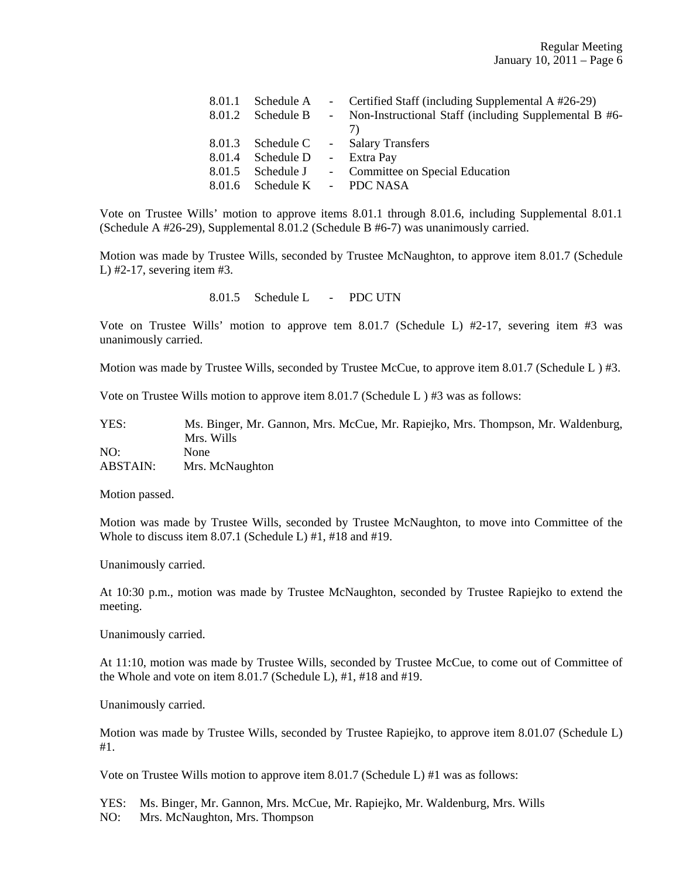| 8.01.1 | Schedule A                   | - Certified Staff (including Supplemental A #26-29)     |
|--------|------------------------------|---------------------------------------------------------|
|        | 8.01.2 Schedule B            | - Non-Instructional Staff (including Supplemental B #6- |
|        |                              | 7)                                                      |
|        |                              | 8.01.3 Schedule C - Salary Transfers                    |
| 8.01.4 | Schedule D                   | - Extra Pay                                             |
|        | 8.01.5 Schedule J            | - Committee on Special Education                        |
|        | 8.01.6 Schedule K - PDC NASA |                                                         |

Vote on Trustee Wills' motion to approve items 8.01.1 through 8.01.6, including Supplemental 8.01.1 (Schedule A #26-29), Supplemental 8.01.2 (Schedule B #6-7) was unanimously carried.

Motion was made by Trustee Wills, seconded by Trustee McNaughton, to approve item 8.01.7 (Schedule L) #2-17, severing item #3.

#### 8.01.5 Schedule L - PDC UTN

Vote on Trustee Wills' motion to approve tem 8.01.7 (Schedule L) #2-17, severing item #3 was unanimously carried.

Motion was made by Trustee Wills, seconded by Trustee McCue, to approve item 8.01.7 (Schedule L) #3.

Vote on Trustee Wills motion to approve item 8.01.7 (Schedule L ) #3 was as follows:

| YES:            | Ms. Binger, Mr. Gannon, Mrs. McCue, Mr. Rapiejko, Mrs. Thompson, Mr. Waldenburg, |
|-----------------|----------------------------------------------------------------------------------|
|                 | Mrs. Wills                                                                       |
| NO:             | None                                                                             |
| <b>ABSTAIN:</b> | Mrs. McNaughton                                                                  |

Motion passed.

Motion was made by Trustee Wills, seconded by Trustee McNaughton, to move into Committee of the Whole to discuss item 8.07.1 (Schedule L) #1, #18 and #19.

Unanimously carried.

At 10:30 p.m., motion was made by Trustee McNaughton, seconded by Trustee Rapiejko to extend the meeting.

Unanimously carried.

At 11:10, motion was made by Trustee Wills, seconded by Trustee McCue, to come out of Committee of the Whole and vote on item 8.01.7 (Schedule L), #1, #18 and #19.

Unanimously carried.

Motion was made by Trustee Wills, seconded by Trustee Rapiejko, to approve item 8.01.07 (Schedule L) #1.

Vote on Trustee Wills motion to approve item 8.01.7 (Schedule L) #1 was as follows:

YES: Ms. Binger, Mr. Gannon, Mrs. McCue, Mr. Rapiejko, Mr. Waldenburg, Mrs. Wills

NO: Mrs. McNaughton, Mrs. Thompson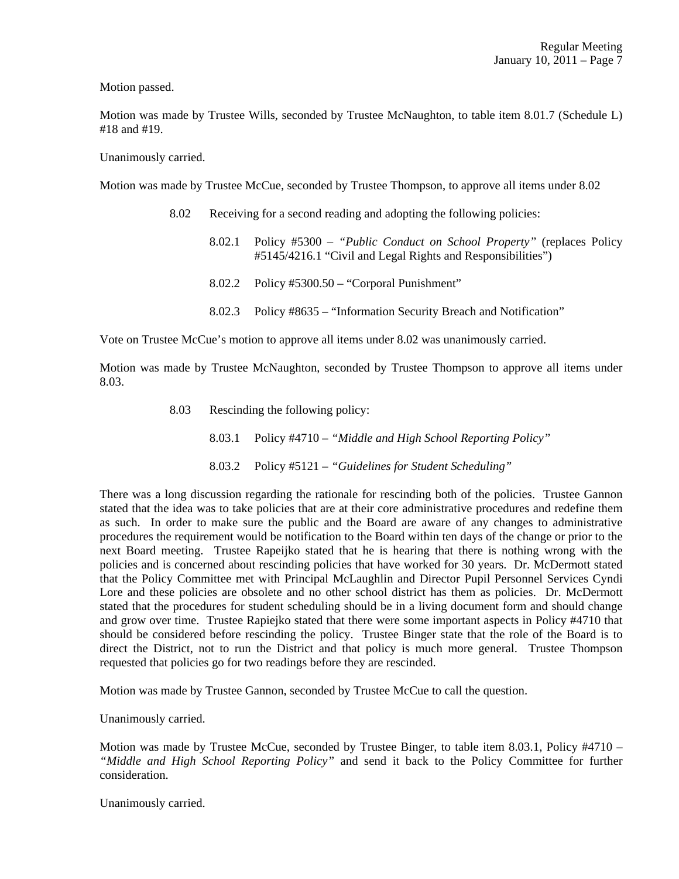Motion passed.

Motion was made by Trustee Wills, seconded by Trustee McNaughton, to table item 8.01.7 (Schedule L) #18 and #19.

Unanimously carried.

Motion was made by Trustee McCue, seconded by Trustee Thompson, to approve all items under 8.02

- 8.02 Receiving for a second reading and adopting the following policies:
	- 8.02.1 Policy #5300 *"Public Conduct on School Property"* (replaces Policy #5145/4216.1 "Civil and Legal Rights and Responsibilities")
	- 8.02.2 Policy #5300.50 "Corporal Punishment"
	- 8.02.3 Policy #8635 "Information Security Breach and Notification"

Vote on Trustee McCue's motion to approve all items under 8.02 was unanimously carried.

Motion was made by Trustee McNaughton, seconded by Trustee Thompson to approve all items under 8.03.

> 8.03 Rescinding the following policy: 8.03.1 Policy #4710 – *"Middle and High School Reporting Policy"* 8.03.2 Policy #5121 – *"Guidelines for Student Scheduling"*

There was a long discussion regarding the rationale for rescinding both of the policies. Trustee Gannon stated that the idea was to take policies that are at their core administrative procedures and redefine them as such. In order to make sure the public and the Board are aware of any changes to administrative procedures the requirement would be notification to the Board within ten days of the change or prior to the next Board meeting. Trustee Rapeijko stated that he is hearing that there is nothing wrong with the policies and is concerned about rescinding policies that have worked for 30 years. Dr. McDermott stated that the Policy Committee met with Principal McLaughlin and Director Pupil Personnel Services Cyndi Lore and these policies are obsolete and no other school district has them as policies. Dr. McDermott stated that the procedures for student scheduling should be in a living document form and should change and grow over time. Trustee Rapiejko stated that there were some important aspects in Policy #4710 that should be considered before rescinding the policy. Trustee Binger state that the role of the Board is to direct the District, not to run the District and that policy is much more general. Trustee Thompson requested that policies go for two readings before they are rescinded.

Motion was made by Trustee Gannon, seconded by Trustee McCue to call the question.

Unanimously carried.

Motion was made by Trustee McCue, seconded by Trustee Binger, to table item 8.03.1, Policy #4710 – *"Middle and High School Reporting Policy"* and send it back to the Policy Committee for further consideration.

Unanimously carried.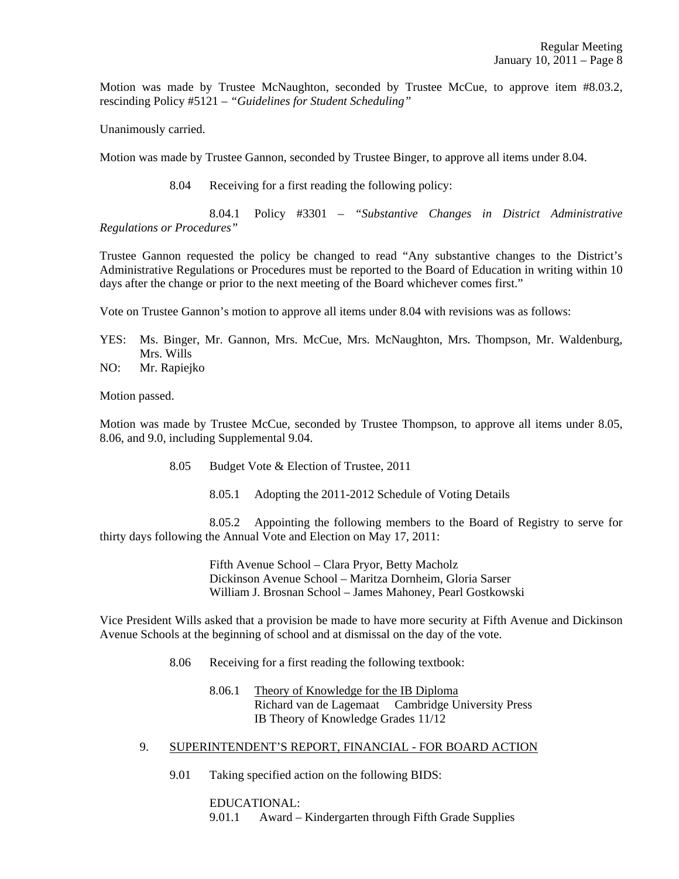Motion was made by Trustee McNaughton, seconded by Trustee McCue, to approve item #8.03.2, rescinding Policy #5121 – *"Guidelines for Student Scheduling"*

Unanimously carried.

Motion was made by Trustee Gannon, seconded by Trustee Binger, to approve all items under 8.04.

8.04 Receiving for a first reading the following policy:

 8.04.1 Policy #3301 – *"Substantive Changes in District Administrative Regulations or Procedures"*

Trustee Gannon requested the policy be changed to read "Any substantive changes to the District's Administrative Regulations or Procedures must be reported to the Board of Education in writing within 10 days after the change or prior to the next meeting of the Board whichever comes first."

Vote on Trustee Gannon's motion to approve all items under 8.04 with revisions was as follows:

- YES: Ms. Binger, Mr. Gannon, Mrs. McCue, Mrs. McNaughton, Mrs. Thompson, Mr. Waldenburg, Mrs. Wills
- NO: Mr. Rapiejko

Motion passed.

Motion was made by Trustee McCue, seconded by Trustee Thompson, to approve all items under 8.05, 8.06, and 9.0, including Supplemental 9.04.

- 8.05 Budget Vote & Election of Trustee, 2011
	- 8.05.1 Adopting the 2011-2012 Schedule of Voting Details

 8.05.2 Appointing the following members to the Board of Registry to serve for thirty days following the Annual Vote and Election on May 17, 2011:

> Fifth Avenue School – Clara Pryor, Betty Macholz Dickinson Avenue School – Maritza Dornheim, Gloria Sarser William J. Brosnan School – James Mahoney, Pearl Gostkowski

Vice President Wills asked that a provision be made to have more security at Fifth Avenue and Dickinson Avenue Schools at the beginning of school and at dismissal on the day of the vote.

- 8.06 Receiving for a first reading the following textbook:
	- 8.06.1 Theory of Knowledge for the IB Diploma Richard van de Lagemaat Cambridge University Press IB Theory of Knowledge Grades 11/12
- 9. SUPERINTENDENT'S REPORT, FINANCIAL FOR BOARD ACTION
	- 9.01 Taking specified action on the following BIDS:

 EDUCATIONAL: 9.01.1 Award – Kindergarten through Fifth Grade Supplies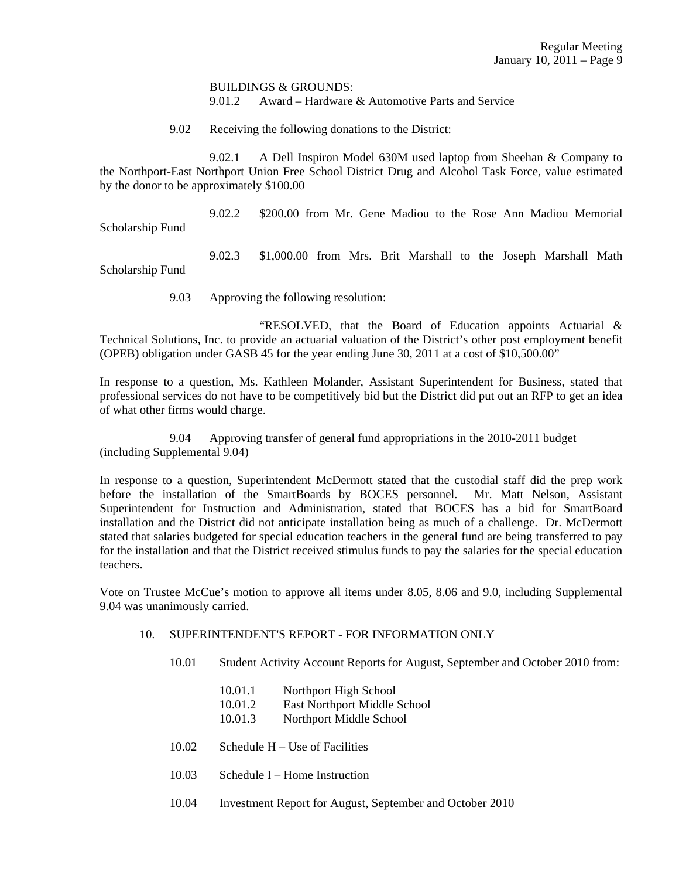BUILDINGS & GROUNDS: 9.01.2 Award – Hardware & Automotive Parts and Service

9.02 Receiving the following donations to the District:

 9.02.1 A Dell Inspiron Model 630M used laptop from Sheehan & Company to the Northport-East Northport Union Free School District Drug and Alcohol Task Force, value estimated by the donor to be approximately \$100.00

9.02.2 \$200.00 from Mr. Gene Madiou to the Rose Ann Madiou Memorial

Scholarship Fund

 9.02.3 \$1,000.00 from Mrs. Brit Marshall to the Joseph Marshall Math Scholarship Fund

9.03 Approving the following resolution:

 "RESOLVED, that the Board of Education appoints Actuarial & Technical Solutions, Inc. to provide an actuarial valuation of the District's other post employment benefit (OPEB) obligation under GASB 45 for the year ending June 30, 2011 at a cost of \$10,500.00"

In response to a question, Ms. Kathleen Molander, Assistant Superintendent for Business, stated that professional services do not have to be competitively bid but the District did put out an RFP to get an idea of what other firms would charge.

9.04 Approving transfer of general fund appropriations in the 2010-2011 budget (including Supplemental 9.04)

In response to a question, Superintendent McDermott stated that the custodial staff did the prep work before the installation of the SmartBoards by BOCES personnel. Mr. Matt Nelson, Assistant Superintendent for Instruction and Administration, stated that BOCES has a bid for SmartBoard installation and the District did not anticipate installation being as much of a challenge. Dr. McDermott stated that salaries budgeted for special education teachers in the general fund are being transferred to pay for the installation and that the District received stimulus funds to pay the salaries for the special education teachers.

Vote on Trustee McCue's motion to approve all items under 8.05, 8.06 and 9.0, including Supplemental 9.04 was unanimously carried.

#### 10. SUPERINTENDENT'S REPORT - FOR INFORMATION ONLY

- 10.01 Student Activity Account Reports for August, September and October 2010 from:
	- 10.01.1 Northport High School
	- 10.01.2 East Northport Middle School
	- 10.01.3 Northport Middle School
- 10.02 Schedule H Use of Facilities
- 10.03 Schedule I Home Instruction
- 10.04 Investment Report for August, September and October 2010